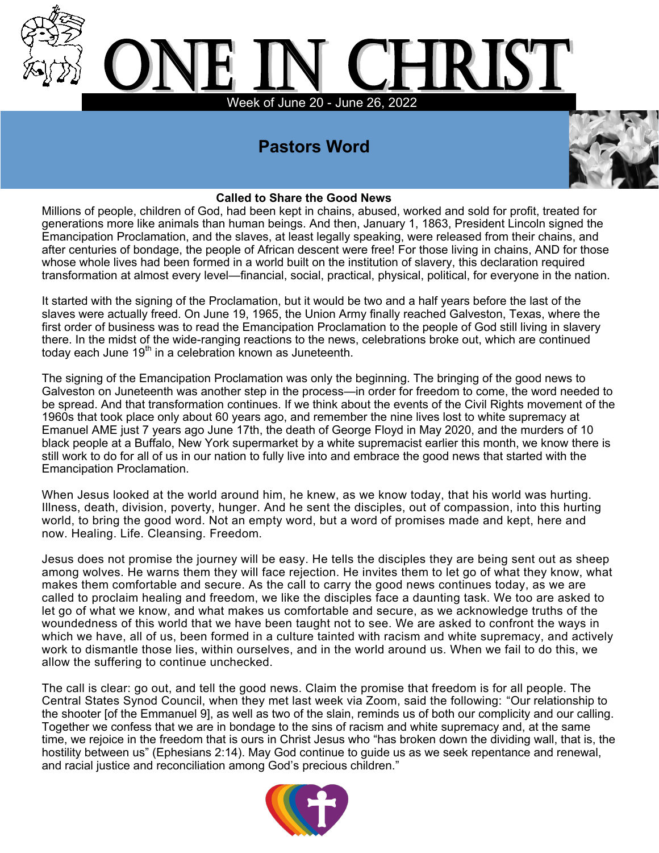

# **Pastors Word**



#### **Called to Share the Good News**

Millions of people, children of God, had been kept in chains, abused, worked and sold for profit, treated for generations more like animals than human beings. And then, January 1, 1863, President Lincoln signed the Emancipation Proclamation, and the slaves, at least legally speaking, were released from their chains, and after centuries of bondage, the people of African descent were free! For those living in chains, AND for those whose whole lives had been formed in a world built on the institution of slavery, this declaration required transformation at almost every level—financial, social, practical, physical, political, for everyone in the nation.

It started with the signing of the Proclamation, but it would be two and a half years before the last of the slaves were actually freed. On June 19, 1965, the Union Army finally reached Galveston, Texas, where the first order of business was to read the Emancipation Proclamation to the people of God still living in slavery there. In the midst of the wide-ranging reactions to the news, celebrations broke out, which are continued today each June 19<sup>th</sup> in a celebration known as Juneteenth.

The signing of the Emancipation Proclamation was only the beginning. The bringing of the good news to Galveston on Juneteenth was another step in the process—in order for freedom to come, the word needed to be spread. And that transformation continues. If we think about the events of the Civil Rights movement of the 1960s that took place only about 60 years ago, and remember the nine lives lost to white supremacy at Emanuel AME just 7 years ago June 17th, the death of George Floyd in May 2020, and the murders of 10 black people at a Buffalo, New York supermarket by a white supremacist earlier this month, we know there is still work to do for all of us in our nation to fully live into and embrace the good news that started with the Emancipation Proclamation.

When Jesus looked at the world around him, he knew, as we know today, that his world was hurting. Illness, death, division, poverty, hunger. And he sent the disciples, out of compassion, into this hurting world, to bring the good word. Not an empty word, but a word of promises made and kept, here and now. Healing. Life. Cleansing. Freedom.

Jesus does not promise the journey will be easy. He tells the disciples they are being sent out as sheep among wolves. He warns them they will face rejection. He invites them to let go of what they know, what makes them comfortable and secure. As the call to carry the good news continues today, as we are called to proclaim healing and freedom, we like the disciples face a daunting task. We too are asked to let go of what we know, and what makes us comfortable and secure, as we acknowledge truths of the woundedness of this world that we have been taught not to see. We are asked to confront the ways in which we have, all of us, been formed in a culture tainted with racism and white supremacy, and actively work to dismantle those lies, within ourselves, and in the world around us. When we fail to do this, we allow the suffering to continue unchecked.

The call is clear: go out, and tell the good news. Claim the promise that freedom is for all people. The Central States Synod Council, when they met last week via Zoom, said the following: "Our relationship to the shooter [of the Emmanuel 9], as well as two of the slain, reminds us of both our complicity and our calling. Together we confess that we are in bondage to the sins of racism and white supremacy and, at the same time, we rejoice in the freedom that is ours in Christ Jesus who "has broken down the dividing wall, that is, the hostility between us" (Ephesians 2:14). May God continue to guide us as we seek repentance and renewal, and racial justice and reconciliation among God's precious children."

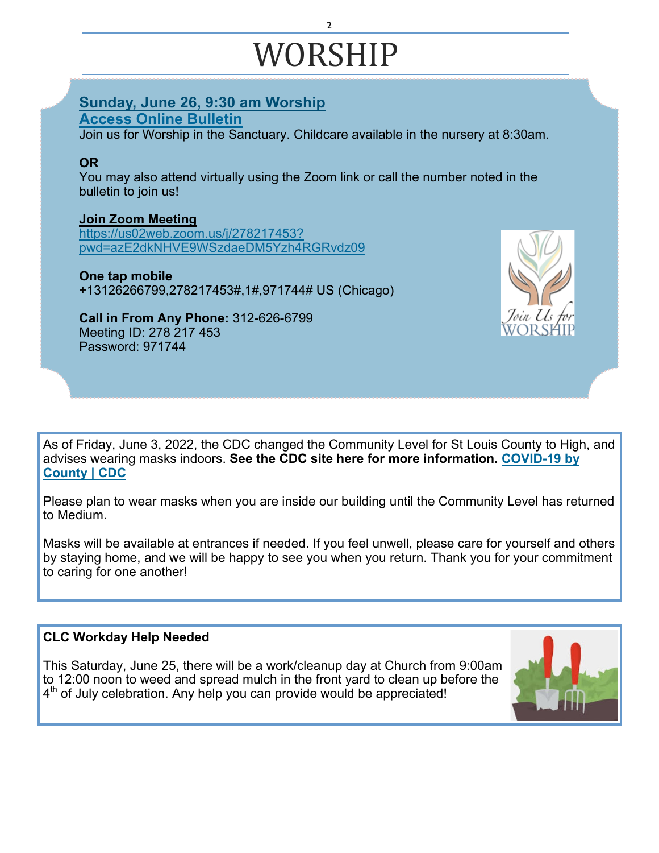# WORSHIP

2

#### **Sunday, June 26, 9:30 am Worship [Access Online Bulletin](https://christlutheranchurchwebstergroves.wordpress.com/2022/05/24/sunday-june-26-2022/)**

Join us for Worship in the Sanctuary. Childcare available in the nursery at 8:30am.

#### **OR**

You may also attend virtually using the Zoom link or call the number noted in the bulletin to join us!

#### **[Join Zoom Meeting](https://zoom.us/j/278217453?pwd=azE2dkNHVE9WSzdaeDM5Yzh4RGRvdz09)**

[https://us02web.zoom.us/j/278217453?](https://us02web.zoom.us/j/278217453?pwd=azE2dkNHVE9WSzdaeDM5Yzh4RGRvdz09) [pwd=azE2dkNHVE9WSzdaeDM5Yzh4RGRvdz09](https://us02web.zoom.us/j/278217453?pwd=azE2dkNHVE9WSzdaeDM5Yzh4RGRvdz09)

# **One tap mobile**

+13126266799,278217453#,1#,971744# US (Chicago)

#### **Call in From Any Phone:** 312-626-6799 Meeting ID: 278 217 453 Password: 971744



As of Friday, June 3, 2022, the CDC changed the Community Level for St Louis County to High, and advises wearing masks indoors. **See the CDC site here for more information. [COVID](https://www.cdc.gov/coronavirus/2019-ncov/your-health/covid-by-county.html)-19 by [County | CDC](https://www.cdc.gov/coronavirus/2019-ncov/your-health/covid-by-county.html)**

Please plan to wear masks when you are inside our building until the Community Level has returned to Medium.

Masks will be available at entrances if needed. If you feel unwell, please care for yourself and others by staying home, and we will be happy to see you when you return. Thank you for your commitment to caring for one another!

#### **CLC Workday Help Needed**

This Saturday, June 25, there will be a work/cleanup day at Church from 9:00am to 12:00 noon to weed and spread mulch in the front yard to clean up before the 4<sup>th</sup> of July celebration. Any help you can provide would be appreciated!

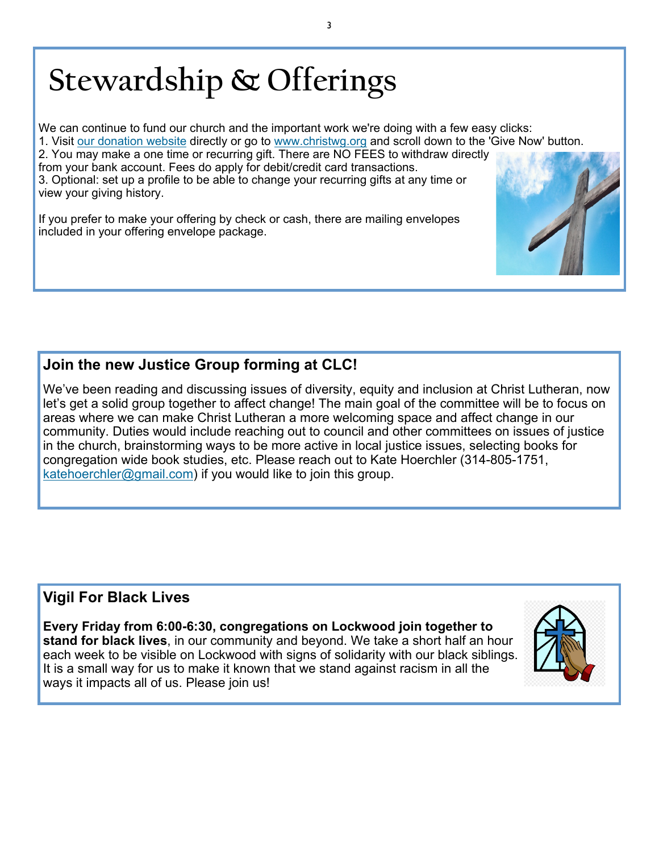# **Stewardship & Offerings**

We can continue to fund our church and the important work we're doing with a few easy clicks:

1. Visit [our donation website](https://www.eservicepayments.com/cgi-bin/Vanco_ver3.vps?appver3=Dc8dzPGn4-LCajFevTkh9GIxgaRR6IEBu2-cW3eny8paRXQnnvYnvgBSFlw_rwuDBSVc9p8zpq7l6ZWj0WVJPbo7zqy-JU_UuLu19bUbJx3gc_dzKPcwy0khokT5W1fKk0PpduXvnt8gXUeZjQYbn5OuaSGayrQ44MFgM0e8x94=&ver=3) directly or go to [www.christwg.org](http://www.christwg.org) and scroll down to the 'Give Now' button.

2. You may make a one time or recurring gift. There are NO FEES to withdraw directly

from your bank account. Fees do apply for debit/credit card transactions. 3. Optional: set up a profile to be able to change your recurring gifts at any time or view your giving history.

If you prefer to make your offering by check or cash, there are mailing envelopes included in your offering envelope package.

# **Join the new Justice Group forming at CLC!**

We've been reading and discussing issues of diversity, equity and inclusion at Christ Lutheran, now let's get a solid group together to affect change! The main goal of the committee will be to focus on areas where we can make Christ Lutheran a more welcoming space and affect change in our community. Duties would include reaching out to council and other committees on issues of justice in the church, brainstorming ways to be more active in local justice issues, selecting books for congregation wide book studies, etc. Please reach out to Kate Hoerchler (314-805-1751, [katehoerchler@gmail.com\)](mailto:katehoerchler@gmail.com) if you would like to join this group.

# **Vigil For Black Lives**

**Every Friday from 6:00-6:30, congregations on Lockwood join together to stand for black lives**, in our community and beyond. We take a short half an hour each week to be visible on Lockwood with signs of solidarity with our black siblings. It is a small way for us to make it known that we stand against racism in all the ways it impacts all of us. Please join us!



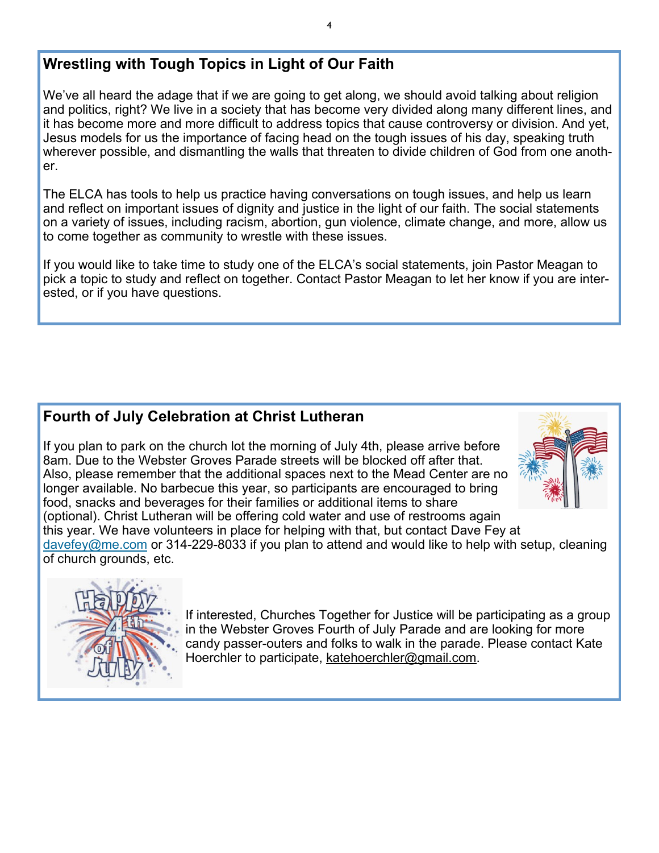# **Wrestling with Tough Topics in Light of Our Faith**

We've all heard the adage that if we are going to get along, we should avoid talking about religion and politics, right? We live in a society that has become very divided along many different lines, and it has become more and more difficult to address topics that cause controversy or division. And yet, Jesus models for us the importance of facing head on the tough issues of his day, speaking truth wherever possible, and dismantling the walls that threaten to divide children of God from one another.

The ELCA has tools to help us practice having conversations on tough issues, and help us learn and reflect on important issues of dignity and justice in the light of our faith. The social statements on a variety of issues, including racism, abortion, gun violence, climate change, and more, allow us to come together as community to wrestle with these issues.

If you would like to take time to study one of the ELCA's social statements, join Pastor Meagan to pick a topic to study and reflect on together. Contact Pastor Meagan to let her know if you are interested, or if you have questions.

# **Fourth of July Celebration at Christ Lutheran**

If you plan to park on the church lot the morning of July 4th, please arrive before 8am. Due to the Webster Groves Parade streets will be blocked off after that. Also, please remember that the additional spaces next to the Mead Center are no longer available. No barbecue this year, so participants are encouraged to bring food, snacks and beverages for their families or additional items to share (optional). Christ Lutheran will be offering cold water and use of restrooms again this year. We have volunteers in place for helping with that, but contact Dave Fey at [davefey@me.com](mailto:davefey@me.com) or 314-229-8033 if you plan to attend and would like to help with setup, cleaning of church grounds, etc.





If interested, Churches Together for Justice will be participating as a group in the Webster Groves Fourth of July Parade and are looking for more candy passer-outers and folks to walk in the parade. Please contact Kate Hoerchler to participate, [katehoerchler@gmail.com.](mailto:katehoerchler@gmail.com)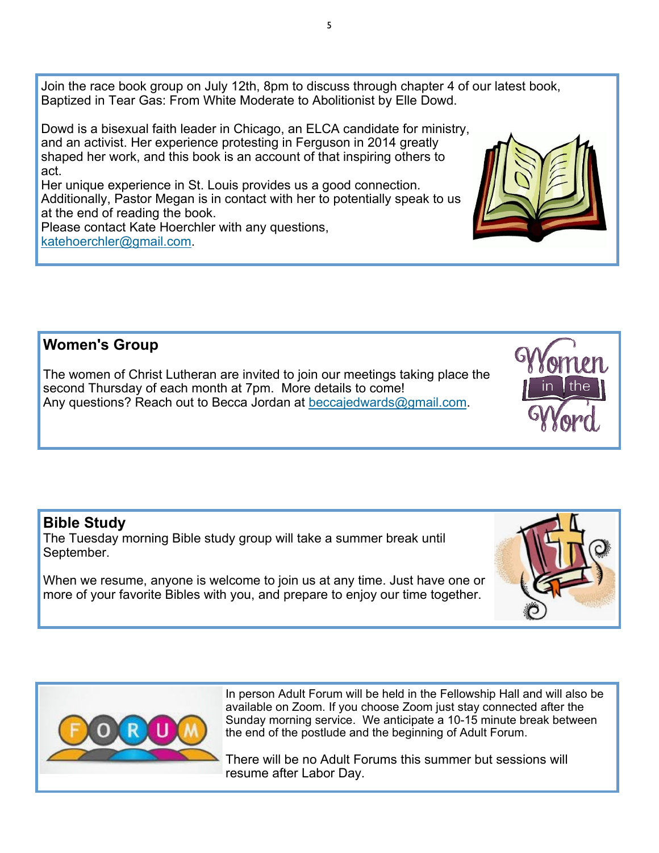Join the race book group on July 12th, 8pm to discuss through chapter 4 of our latest book, Baptized in Tear Gas: From White Moderate to Abolitionist by Elle Dowd.

Dowd is a bisexual faith leader in Chicago, an ELCA candidate for ministry, and an activist. Her experience protesting in Ferguson in 2014 greatly shaped her work, and this book is an account of that inspiring others to act.

Her unique experience in St. Louis provides us a good connection. Additionally, Pastor Megan is in contact with her to potentially speak to us at the end of reading the book.

Please contact Kate Hoerchler with any questions, [katehoerchler@gmail.com.](mailto:katehoerchler@gmail.com)

# **Women's Group**

The women of Christ Lutheran are invited to join our meetings taking place the second Thursday of each month at 7pm. More details to come! Any questions? Reach out to Becca Jordan at [beccajedwards@gmail.com.](mailto:beccajedwards@gmail.com)

#### **Bible Study**

The Tuesday morning Bible study group will take a summer break until September.

When we resume, anyone is welcome to join us at any time. Just have one or more of your favorite Bibles with you, and prepare to enjoy our time together.

> In person Adult Forum will be held in the Fellowship Hall and will also be available on Zoom. If you choose Zoom just stay connected after the Sunday morning service. We anticipate a 10-15 minute break between the end of the postlude and the beginning of Adult Forum.

There will be no Adult Forums this summer but sessions will resume after Labor Day.



5







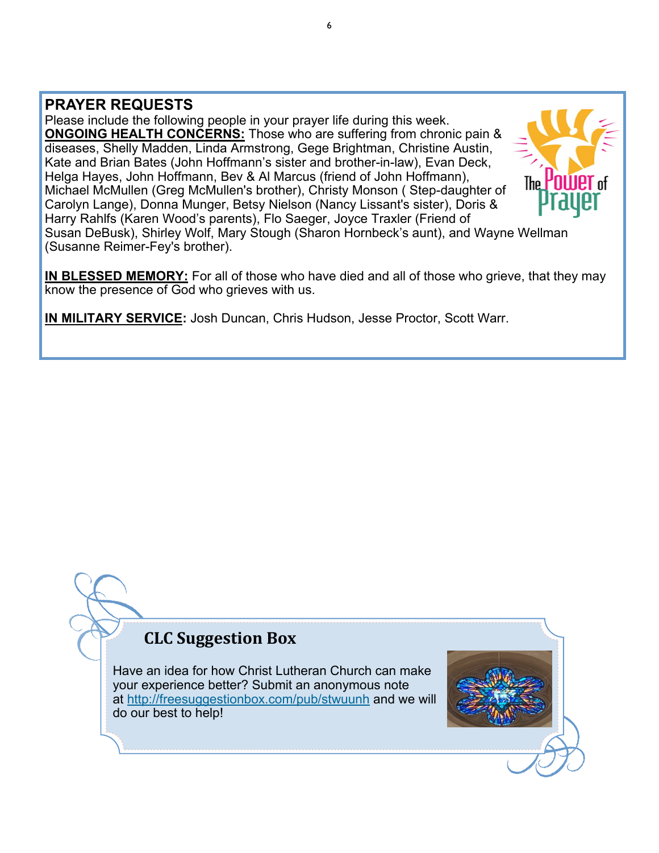### **PRAYER REQUESTS**

Please include the following people in your prayer life during this week. **ONGOING HEALTH CONCERNS:** Those who are suffering from chronic pain & diseases, Shelly Madden, Linda Armstrong, Gege Brightman, Christine Austin, Kate and Brian Bates (John Hoffmann's sister and brother-in-law), Evan Deck, Helga Hayes, John Hoffmann, Bev & Al Marcus (friend of John Hoffmann), Michael McMullen (Greg McMullen's brother), Christy Monson ( Step-daughter of Carolyn Lange), Donna Munger, Betsy Nielson (Nancy Lissant's sister), Doris & Harry Rahlfs (Karen Wood's parents), Flo Saeger, Joyce Traxler (Friend of



Susan DeBusk), Shirley Wolf, Mary Stough (Sharon Hornbeck's aunt), and Wayne Wellman (Susanne Reimer-Fey's brother).

**IN BLESSED MEMORY:** For all of those who have died and all of those who grieve, that they may know the presence of God who grieves with us.

**IN MILITARY SERVICE:** Josh Duncan, Chris Hudson, Jesse Proctor, Scott Warr.

# **CLC Suggestion Box**

Have an idea for how Christ Lutheran Church can make your experience better? Submit an anonymous note at <http://freesuggestionbox.com/pub/stwuunh> and we will do our best to help!

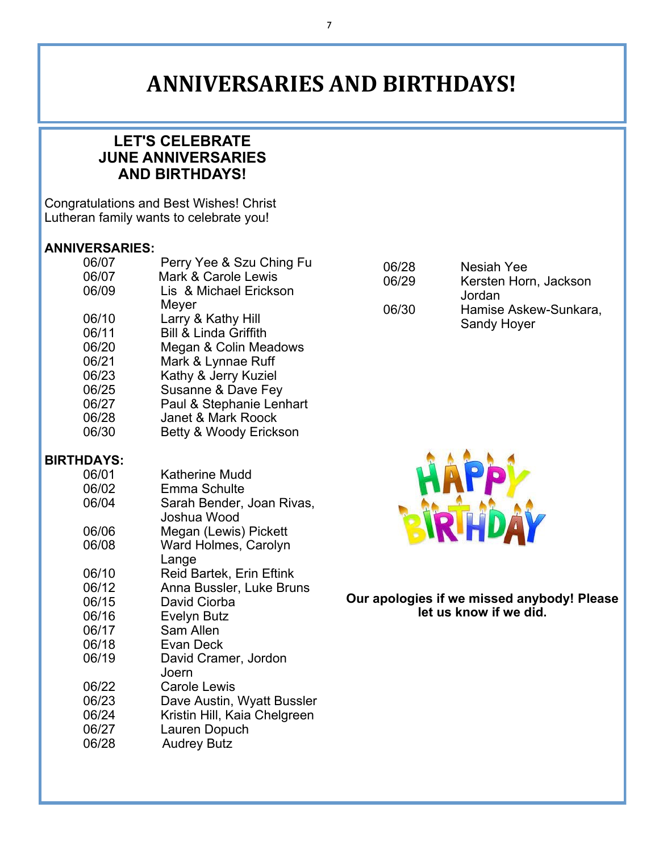# **ANNIVERSARIES AND BIRTHDAYS!**

# **LET'S CELEBRATE JUNE ANNIVERSARIES AND BIRTHDAYS!**

Congratulations and Best Wishes! Christ Lutheran family wants to celebrate you!

#### **ANNIVERSARIES:**

| 06/07             | Perry Yee & Szu Ching Fu         |
|-------------------|----------------------------------|
| 06/07             | <b>Mark &amp; Carole Lewis</b>   |
| 06/09             | Lis & Michael Erickson           |
|                   | Meyer                            |
| 06/10             | Larry & Kathy Hill               |
| 06/11             | <b>Bill &amp; Linda Griffith</b> |
| 06/20             | Megan & Colin Meadows            |
| 06/21             | Mark & Lynnae Ruff               |
| 06/23             | Kathy & Jerry Kuziel             |
| 06/25             | Susanne & Dave Fey               |
| 06/27             | Paul & Stephanie Lenhart         |
| 06/28             | <b>Janet &amp; Mark Roock</b>    |
| 06/30             | Betty & Woody Erickson           |
| <b>BIRTHDAYS:</b> |                                  |
| 06/01             | <b>Katherine Mudd</b>            |
| 06/02             | Emma Schulte                     |
| 06/04             | Sarah Bender, Joan Rivas,        |
|                   | Joshua Wood                      |
| 06/06             | Megan (Lewis) Pickett            |
| 06/08             | Ward Holmes, Carolyn             |
|                   | Lange                            |
| 06/10             | <b>Reid Bartek, Erin Eftink</b>  |
| 06/12             | Anna Bussler, Luke Bruns         |
| 06/15             | David Ciorba                     |
| 06/16             | <b>Evelyn Butz</b>               |
| 06/17             | Sam Allen                        |
| 06/18             | <b>Evan Deck</b>                 |
| 06/19             | David Cramer, Jordon             |
|                   | Joern                            |
| 06/22             | <b>Carole Lewis</b>              |
| 06/23             | Dave Austin, Wyatt Bussler       |
| 06/24             | Kristin Hill, Kaia Chelgreen     |
| 06/27             | Lauren Dopuch                    |
| 06/28             | <b>Audrey Butz</b>               |

| 06/28 | <b>Nesiah Yee</b>     |
|-------|-----------------------|
| 06/29 | Kersten Horn, Jackson |
|       | Jordan                |
| 06/30 | Hamise Askew-Sunkara, |
|       | <b>Sandy Hoyer</b>    |



**Our apologies if we missed anybody! Please let us know if we did.**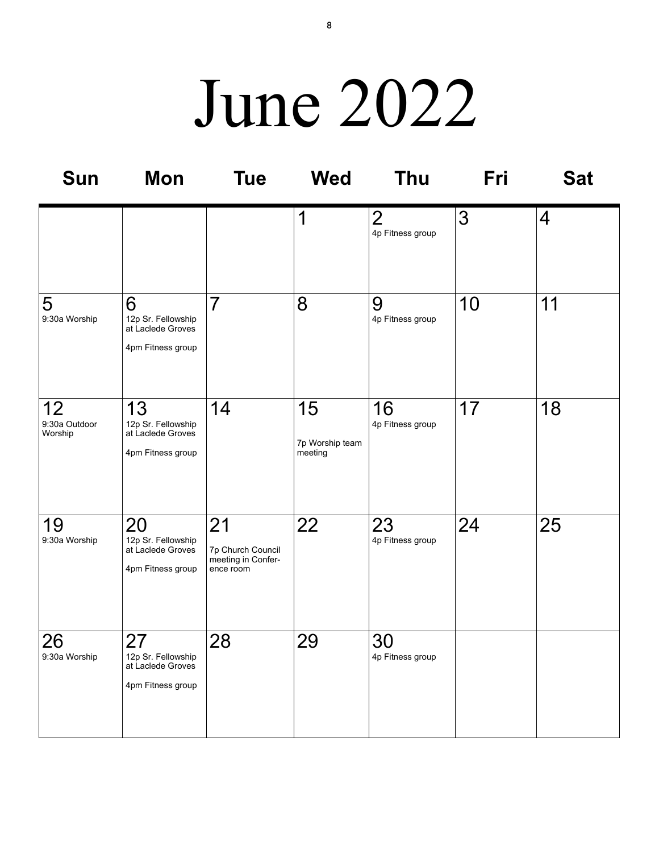# June 2022

| <b>Sun</b>                     | Mon                                                                | <b>Tue</b>                                                 | <b>Wed</b>                       | <b>Thu</b>                         | Fri | <b>Sat</b>     |
|--------------------------------|--------------------------------------------------------------------|------------------------------------------------------------|----------------------------------|------------------------------------|-----|----------------|
|                                |                                                                    |                                                            | 1                                | $\overline{2}$<br>4p Fitness group | 3   | $\overline{4}$ |
| 5<br>9:30a Worship             | 6<br>12p Sr. Fellowship<br>at Laclede Groves<br>4pm Fitness group  | $\overline{7}$                                             | 8                                | 9<br>4p Fitness group              | 10  | 11             |
| 12<br>9:30a Outdoor<br>Worship | 13<br>12p Sr. Fellowship<br>at Laclede Groves<br>4pm Fitness group | 14                                                         | 15<br>7p Worship team<br>meeting | 16<br>4p Fitness group             | 17  | 18             |
| 19<br>9:30a Worship            | 20<br>12p Sr. Fellowship<br>at Laclede Groves<br>4pm Fitness group | 21<br>7p Church Council<br>meeting in Confer-<br>ence room | 22                               | 23<br>4p Fitness group             | 24  | 25             |
| 26<br>9:30a Worship            | 27<br>12p Sr. Fellowship<br>at Laclede Groves<br>4pm Fitness group | 28                                                         | 29                               | 30<br>4p Fitness group             |     |                |